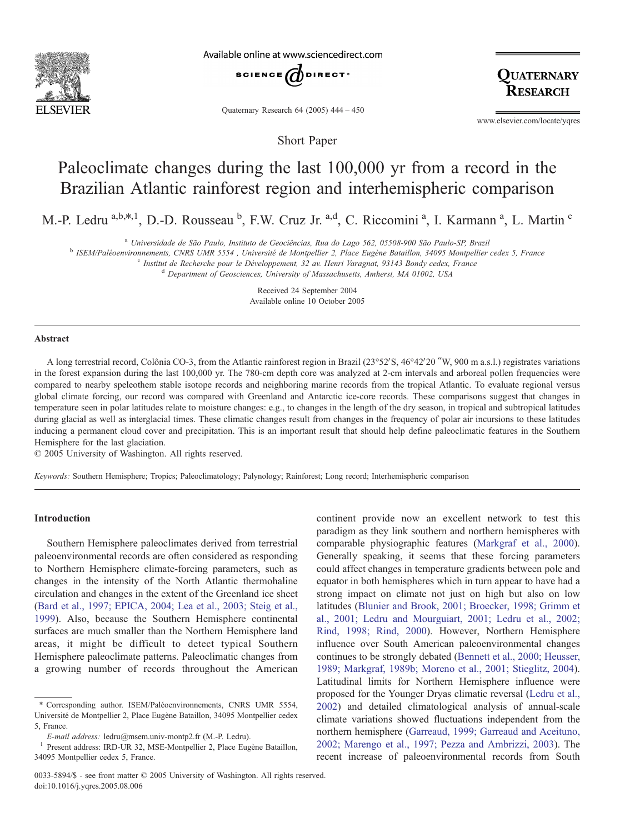

Available online at www.sciencedirect.com



OUATERNARY RESEARCH

Quaternary Research 64 (2005) 444 – 450

Short Paper

www.elsevier.com/locate/yqres

# Paleoclimate changes during the last 100,000 yr from a record in the Brazilian Atlantic rainforest region and interhemispheric comparison

M.-P. Ledru <sup>a,b,\*,1</sup>, D.-D. Rousseau <sup>b</sup>, F.W. Cruz Jr. <sup>a,d</sup>, C. Riccomini <sup>a</sup>, I. Karmann <sup>a</sup>, L. Martin <sup>c</sup>

<sup>a</sup> Universidade de São Paulo, Instituto de Geociências, Rua do Lago 562, 05508-900 São Paulo-SP, Brazil<br><sup>b</sup> ISEM/Paléoenvironnements. CNRS UMR 5554, Université de Montpellier 2, Place Eugène Bataillon. 34095 Montpellier c

<sup>c</sup> Institut de Recherche pour le Développement, 32 av. Henri Varagnat, 93143 Bondy cedex, France d Department of Geosciences, University of Massachusetts, Amherst, MA 01002, USA

Received 24 September 2004 Available online 10 October 2005

### Abstract

A long terrestrial record, Colônia CO-3, from the Atlantic rainforest region in Brazil ( $23^{\circ}52'S$ ,  $46^{\circ}42'20''W$ , 900 m a.s.l.) registrates variations in the forest expansion during the last 100,000 yr. The 780-cm depth core was analyzed at 2-cm intervals and arboreal pollen frequencies were compared to nearby speleothem stable isotope records and neighboring marine records from the tropical Atlantic. To evaluate regional versus global climate forcing, our record was compared with Greenland and Antarctic ice-core records. These comparisons suggest that changes in temperature seen in polar latitudes relate to moisture changes: e.g., to changes in the length of the dry season, in tropical and subtropical latitudes during glacial as well as interglacial times. These climatic changes result from changes in the frequency of polar air incursions to these latitudes inducing a permanent cloud cover and precipitation. This is an important result that should help define paleoclimatic features in the Southern Hemisphere for the last glaciation.

 $©$  2005 University of Washington. All rights reserved.

Keywords: Southern Hemisphere; Tropics; Paleoclimatology; Palynology; Rainforest; Long record; Interhemispheric comparison

# Introduction

Southern Hemisphere paleoclimates derived from terrestrial paleoenvironmental records are often considered as responding to Northern Hemisphere climate-forcing parameters, such as changes in the intensity of the North Atlantic thermohaline circulation and changes in the extent of the Greenland ice sheet (Bard et al., 1997; [EPICA,](#page-5-0) 2004; Lea et al., 2003; Steig et al., 1999). Also, because the Southern Hemisphere continental surfaces are much smaller than the Northern Hemisphere land areas, it might be difficult to detect typical Southern Hemisphere paleoclimate patterns. Paleoclimatic changes from a growing number of records throughout the American continent provide now an excellent network to test this paradigm as they link southern and northern hemispheres with comparable physiographic features ([Markgraf](#page-6-0) et al., 2000). Generally speaking, it seems that these forcing parameters could affect changes in temperature gradients between pole and equator in both hemispheres which in turn appear to have had a strong impact on climate not just on high but also on low latitudes (Blunier and Brook, 2001; [Broecker,](#page-5-0) 1998; Grimm et al., 2001; Ledru and Mourguiart, 2001; Ledru et al., 2002; Rind, 1998; Rind, 2000). However, Northern Hemisphere influence over South American paleoenvironmental changes continues to be strongly debated [\(Bennett](#page-5-0) et al., 2000; Heusser, 1989; Markgraf, 1989b; Moreno et al., 2001; Stieglitz, 2004). Latitudinal limits for Northern Hemisphere influence were proposed for the Younger Dryas climatic reversal [\(Ledru](#page-5-0) et al., 2002) and detailed climatological analysis of annual-scale climate variations showed fluctuations independent from the northern hemisphere [\(Garreaud,](#page-5-0) 1999; Garreaud and Aceituno, 2002; Marengo et al., 1997; Pezza and Ambrizzi, 2003). The recent increase of paleoenvironmental records from South

<sup>\*</sup> Corresponding author. ISEM/Pale´oenvironnements, CNRS UMR 5554, Université de Montpellier 2, Place Eugène Bataillon, 34095 Montpellier cedex 5, France.

 $E\text{-}mail address: ledru@msem.univ-monthp2.fr (M.-P. Ledru).$ <sup>1</sup> Present address: IRD-UR 32, MSE-Montpellier 2, Place Eugène Bataillon, 34095 Montpellier cedex 5, France.

<sup>0033-5894/\$ -</sup> see front matter © 2005 University of Washington. All rights reserved. doi:10.1016/j.yqres.2005.08.006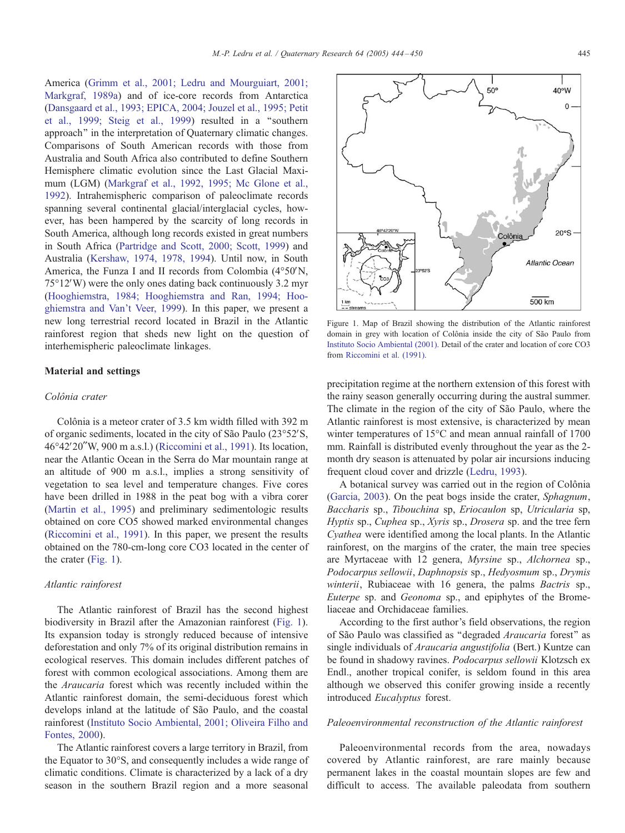America (Grimm et al., 2001; Ledru and [Mourguiart,](#page-5-0) 2001; Markgraf, 1989a) and of ice-core records from Antarctica ([Dansgaard](#page-5-0) et al., 1993; EPICA, 2004; Jouzel et al., 1995; Petit et al., 1999; Steig et al., 1999) resulted in a ''southern approach'' in the interpretation of Quaternary climatic changes. Comparisons of South American records with those from Australia and South Africa also contributed to define Southern Hemisphere climatic evolution since the Last Glacial Maximum (LGM) ([Markgraf](#page-6-0) et al., 1992, 1995; Mc Glone et al., 1992). Intrahemispheric comparison of paleoclimate records spanning several continental glacial/interglacial cycles, however, has been hampered by the scarcity of long records in South America, although long records existed in great numbers in South Africa ([Partridge](#page-6-0) and Scott, 2000; Scott, 1999) and Australia [\(Kershaw,](#page-5-0) 1974, 1978, 1994). Until now, in South America, the Funza I and II records from Colombia  $(4°50'N,$  $75^{\circ}12'$ W) were the only ones dating back continuously 3.2 myr ([Hooghiemstra,](#page-5-0) 1984; Hooghiemstra and Ran, 1994; Hooghiemstra and Van't Veer, 1999). In this paper, we present a new long terrestrial record located in Brazil in the Atlantic rainforest region that sheds new light on the question of interhemispheric paleoclimate linkages.

# Material and settings

#### Colônia crater

Colônia is a meteor crater of 3.5 km width filled with 392 m of organic sediments, located in the city of São Paulo  $(23°52'S,$  $46^{\circ}42'20''$ W, 900 m a.s.l.) ([Riccomini](#page-6-0) et al., 1991). Its location, near the Atlantic Ocean in the Serra do Mar mountain range at an altitude of 900 m a.s.l., implies a strong sensitivity of vegetation to sea level and temperature changes. Five cores have been drilled in 1988 in the peat bog with a vibra corer ([Martin](#page-6-0) et al., 1995) and preliminary sedimentologic results obtained on core CO5 showed marked environmental changes ([Riccomini](#page-6-0) et al., 1991). In this paper, we present the results obtained on the 780-cm-long core CO3 located in the center of the crater (Fig. 1).

#### Atlantic rainforest

The Atlantic rainforest of Brazil has the second highest biodiversity in Brazil after the Amazonian rainforest (Fig. 1). Its expansion today is strongly reduced because of intensive deforestation and only 7% of its original distribution remains in ecological reserves. This domain includes different patches of forest with common ecological associations. Among them are the Araucaria forest which was recently included within the Atlantic rainforest domain, the semi-deciduous forest which develops inland at the latitude of São Paulo, and the coastal rainforest (Instituto Socio [Ambiental,](#page-5-0) 2001; Oliveira Filho and Fontes, 2000).

The Atlantic rainforest covers a large territory in Brazil, from the Equator to  $30^{\circ}$ S, and consequently includes a wide range of climatic conditions. Climate is characterized by a lack of a dry season in the southern Brazil region and a more seasonal



 $50^{\circ}$ 

Figure 1. Map of Brazil showing the distribution of the Atlantic rainforest domain in grey with location of Colônia inside the city of São Paulo from Instituto Socio [Ambiental](#page-5-0) (2001). Detail of the crater and location of core CO3 from [Riccomini](#page-6-0) et al. (1991).

precipitation regime at the northern extension of this forest with the rainy season generally occurring during the austral summer. The climate in the region of the city of São Paulo, where the Atlantic rainforest is most extensive, is characterized by mean winter temperatures of  $15^{\circ}$ C and mean annual rainfall of 1700 mm. Rainfall is distributed evenly throughout the year as the 2 month dry season is attenuated by polar air incursions inducing frequent cloud cover and drizzle [\(Ledru,](#page-5-0) 1993).

A botanical survey was carried out in the region of Colônia [\(Garcia,](#page-5-0) 2003). On the peat bogs inside the crater, Sphagnum, Baccharis sp., Tibouchina sp, Eriocaulon sp, Utricularia sp, Hyptis sp., Cuphea sp., Xyris sp., Drosera sp. and the tree fern Cyathea were identified among the local plants. In the Atlantic rainforest, on the margins of the crater, the main tree species are Myrtaceae with 12 genera, Myrsine sp., Alchornea sp., Podocarpus sellowii, Daphnopsis sp., Hedyosmum sp., Drymis winterii, Rubiaceae with 16 genera, the palms Bactris sp., Euterpe sp. and Geonoma sp., and epiphytes of the Bromeliaceae and Orchidaceae families.

According to the first author's field observations, the region of São Paulo was classified as "degraded Araucaria forest" as single individuals of Araucaria angustifolia (Bert.) Kuntze can be found in shadowy ravines. Podocarpus sellowii Klotzsch ex Endl., another tropical conifer, is seldom found in this area although we observed this conifer growing inside a recently introduced Eucalyptus forest.

## Paleoenvironmental reconstruction of the Atlantic rainforest

Paleoenvironmental records from the area, nowadays covered by Atlantic rainforest, are rare mainly because permanent lakes in the coastal mountain slopes are few and difficult to access. The available paleodata from southern

40°W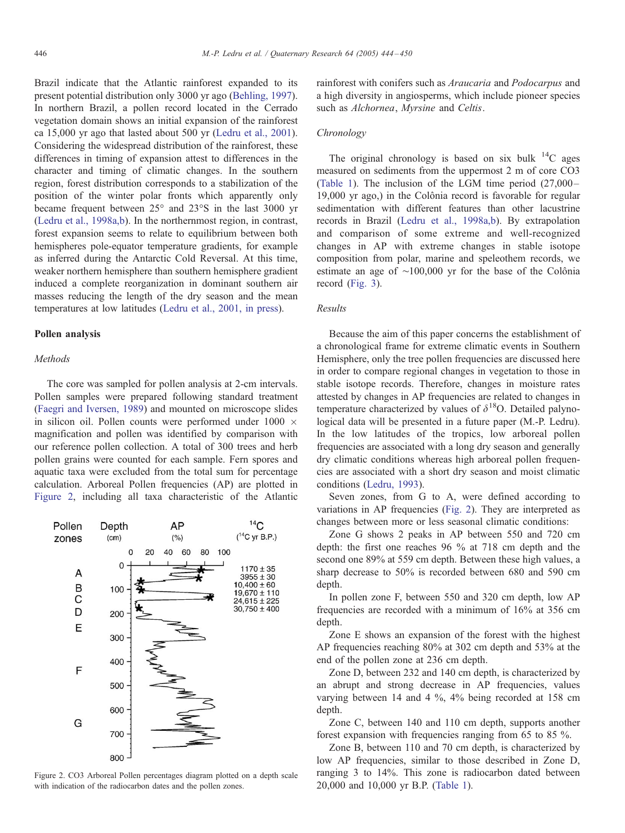Brazil indicate that the Atlantic rainforest expanded to its present potential distribution only 3000 yr ago [\(Behling,](#page-5-0) 1997). In northern Brazil, a pollen record located in the Cerrado vegetation domain shows an initial expansion of the rainforest ca 15,000 yr ago that lasted about 500 yr [\(Ledru](#page-5-0) et al., 2001). Considering the widespread distribution of the rainforest, these differences in timing of expansion attest to differences in the character and timing of climatic changes. In the southern region, forest distribution corresponds to a stabilization of the position of the winter polar fronts which apparently only became frequent between  $25^{\circ}$  and  $23^{\circ}$ S in the last 3000 yr (Ledru et al., [1998a,b](#page-5-0)). In the northernmost region, in contrast, forest expansion seems to relate to equilibrium between both hemispheres pole-equator temperature gradients, for example as inferred during the Antarctic Cold Reversal. At this time, weaker northern hemisphere than southern hemisphere gradient induced a complete reorganization in dominant southern air masses reducing the length of the dry season and the mean temperatures at low latitudes [\(Ledru](#page-5-0) et al., 2001, in press).

# Pollen analysis

# Methods

The core was sampled for pollen analysis at 2-cm intervals. Pollen samples were prepared following standard treatment (Faegri and [Iversen,](#page-5-0) 1989) and mounted on microscope slides in silicon oil. Pollen counts were performed under 1000  $\times$ magnification and pollen was identified by comparison with our reference pollen collection. A total of 300 trees and herb pollen grains were counted for each sample. Fern spores and aquatic taxa were excluded from the total sum for percentage calculation. Arboreal Pollen frequencies (AP) are plotted in Figure 2, including all taxa characteristic of the Atlantic



Figure 2. CO3 Arboreal Pollen percentages diagram plotted on a depth scale with indication of the radiocarbon dates and the pollen zones.

rainforest with conifers such as Araucaria and Podocarpus and a high diversity in angiosperms, which include pioneer species such as *Alchornea*, *Myrsine* and *Celtis*.

# Chronology

The original chronology is based on six bulk  $^{14}$ C ages measured on sediments from the uppermost 2 m of core CO3 [\(Table](#page-3-0) 1). The inclusion of the LGM time period (27,000– 19,000 yr ago,) in the Colônia record is favorable for regular sedimentation with different features than other lacustrine records in Brazil (Ledru et al., [1998a,b](#page-5-0)). By extrapolation and comparison of some extreme and well-recognized changes in AP with extreme changes in stable isotope composition from polar, marine and speleothem records, we estimate an age of  $~100,000$  yr for the base of the Colônia record ([Fig.](#page-3-0) 3).

# Results

Because the aim of this paper concerns the establishment of a chronological frame for extreme climatic events in Southern Hemisphere, only the tree pollen frequencies are discussed here in order to compare regional changes in vegetation to those in stable isotope records. Therefore, changes in moisture rates attested by changes in AP frequencies are related to changes in temperature characterized by values of  $\delta^{18}$ O. Detailed palynological data will be presented in a future paper (M.-P. Ledru). In the low latitudes of the tropics, low arboreal pollen frequencies are associated with a long dry season and generally dry climatic conditions whereas high arboreal pollen frequencies are associated with a short dry season and moist climatic conditions [\(Ledru,](#page-5-0) 1993).

Seven zones, from G to A, were defined according to variations in AP frequencies (Fig. 2). They are interpreted as changes between more or less seasonal climatic conditions:

Zone G shows 2 peaks in AP between 550 and 720 cm depth: the first one reaches 96 % at 718 cm depth and the second one 89% at 559 cm depth. Between these high values, a sharp decrease to 50% is recorded between 680 and 590 cm depth.

In pollen zone F, between 550 and 320 cm depth, low AP frequencies are recorded with a minimum of 16% at 356 cm depth.

Zone E shows an expansion of the forest with the highest AP frequencies reaching 80% at 302 cm depth and 53% at the end of the pollen zone at 236 cm depth.

Zone D, between 232 and 140 cm depth, is characterized by an abrupt and strong decrease in AP frequencies, values varying between 14 and 4 %, 4% being recorded at 158 cm depth.

Zone C, between 140 and 110 cm depth, supports another forest expansion with frequencies ranging from 65 to 85 %.

Zone B, between 110 and 70 cm depth, is characterized by low AP frequencies, similar to those described in Zone D, ranging 3 to 14%. This zone is radiocarbon dated between 20,000 and 10,000 yr B.P. [\(Table](#page-3-0) 1).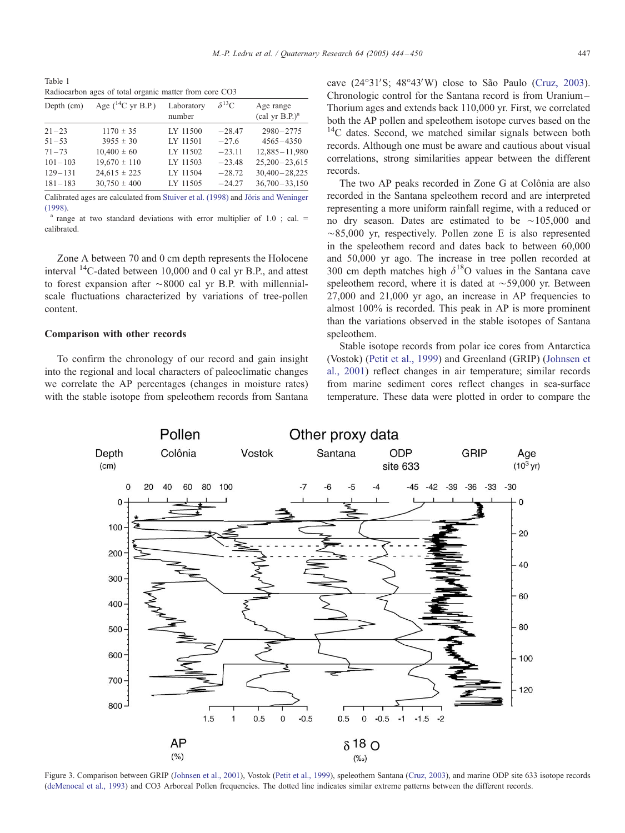<span id="page-3-0"></span>Table 1 Radiocarbon ages of total organic matter from core CO3

| Depth (cm)  | Age $(^{14}C$ yr B.P.) | Laboratory<br>number | $\delta^{13}C$ | Age range<br>$\text{(cal yr B.P.)}^a$ |
|-------------|------------------------|----------------------|----------------|---------------------------------------|
| $21 - 23$   | $1170 \pm 35$          | LY 11500             | $-28.47$       | $2980 - 2775$                         |
| $51 - 53$   | $3955 \pm 30$          | LY 11501             | $-27.6$        | $4565 - 4350$                         |
| $71 - 73$   | $10,400 \pm 60$        | LY 11502             | $-23.11$       | $12,885 - 11,980$                     |
| $101 - 103$ | $19,670 \pm 110$       | LY 11503             | $-23.48$       | $25,200 - 23,615$                     |
| $129 - 131$ | $24,615 \pm 225$       | LY 11504             | $-28.72$       | $30,400 - 28,225$                     |
| $181 - 183$ | $30,750 \pm 400$       | LY 11505             | $-24.27$       | $36,700 - 33,150$                     |

Calibrated ages are calculated from [Stuiver](#page-6-0) et al. (1998) and Jöris and [Weninger](#page-5-0) (1998).<br><sup>a</sup> range at two standard deviations with error multiplier of 1.0 ; cal. =

Zone A between 70 and 0 cm depth represents the Holocene interval  $^{14}$ C-dated between 10,000 and 0 cal yr B.P., and attest to forest expansion after  $\sim 8000$  cal yr B.P. with millennialscale fluctuations characterized by variations of tree-pollen content.

# Comparison with other records

To confirm the chronology of our record and gain insight into the regional and local characters of paleoclimatic changes we correlate the AP percentages (changes in moisture rates) with the stable isotope from speleothem records from Santana

cave  $(24^{\circ}31'S; 48^{\circ}43'W)$  close to São Paulo [\(Cruz,](#page-5-0) 2003). Chronologic control for the Santana record is from Uranium– Thorium ages and extends back 110,000 yr. First, we correlated both the AP pollen and speleothem isotope curves based on the <sup>14</sup>C dates. Second, we matched similar signals between both records. Although one must be aware and cautious about visual correlations, strong similarities appear between the different records.

The two AP peaks recorded in Zone G at Colônia are also recorded in the Santana speleothem record and are interpreted representing a more uniform rainfall regime, with a reduced or no dry season. Dates are estimated to be  $\sim$ 105,000 and  $\sim$ 85,000 yr, respectively. Pollen zone E is also represented in the speleothem record and dates back to between 60,000 and 50,000 yr ago. The increase in tree pollen recorded at 300 cm depth matches high  $\delta^{18}$ O values in the Santana cave speleothem record, where it is dated at  $\sim$  59,000 yr. Between 27,000 and 21,000 yr ago, an increase in AP frequencies to almost 100% is recorded. This peak in AP is more prominent than the variations observed in the stable isotopes of Santana speleothem.

Stable isotope records from polar ice cores from Antarctica (Vostok) [\(Petit](#page-6-0) et al., 1999) and Greenland (GRIP) [\(Johnse](#page-5-0)n et al., 2001) reflect changes in air temperature; similar records from marine sediment cores reflect changes in sea-surface temperature. These data were plotted in order to compare the



Figure 3. Comparison between GRIP ([Johnsen](#page-5-0) et al., 2001), Vostok (Petit et al., [1999\)](#page-6-0), speleothem Santana (Cruz, [2003\)](#page-5-0), and marine ODP site 633 isotope records [\(deMenocal](#page-5-0) et al., 1993) and CO3 Arboreal Pollen frequencies. The dotted line indicates similar extreme patterns between the different records.

calibrated.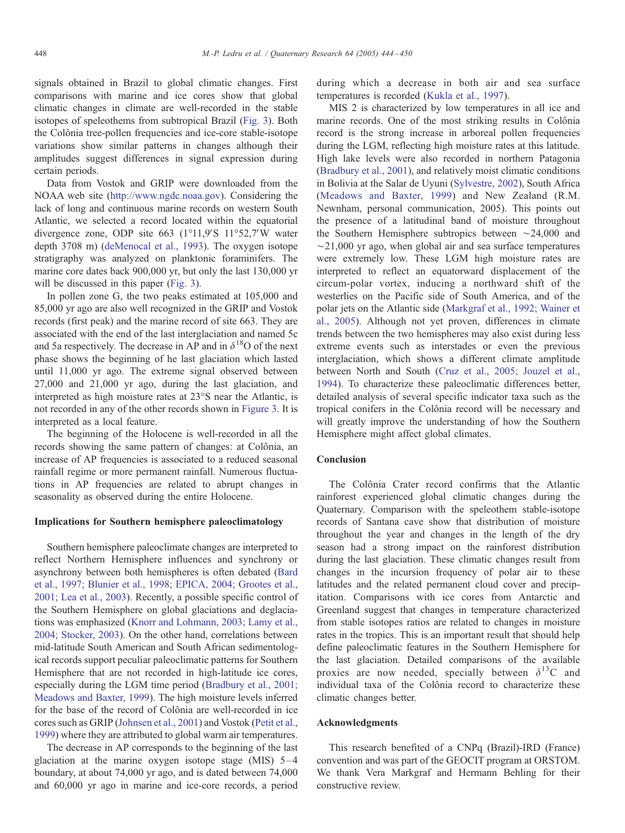signals obtained in Brazil to global climatic changes. First comparisons with marine and ice cores show that global climatic changes in climate are well-recorded in the stable isotopes of speleothems from subtropical Brazil [\(Fig.](#page-3-0) 3). Both the Colônia tree-pollen frequencies and ice-core stable-isotope variations show similar patterns in changes although their amplitudes suggest differences in signal expression during certain periods.

Data from Vostok and GRIP were downloaded from the NOAA web site (http://www.ngdc.noaa.gov). Considering the lack of long and continuous marine records on western South Atlantic, we selected a record located within the equatorial divergence zone, ODP site  $663$  (1°11,9'S 11°52,7'W water depth 3708 m) ([deMenocal](#page-5-0) et al., 1993). The oxygen isotope stratigraphy was analyzed on planktonic foraminifers. The marine core dates back 900,000 yr, but only the last 130,000 yr will be discussed in this paper ([Fig.](#page-3-0) 3).

In pollen zone G, the two peaks estimated at 105,000 and 85,000 yr ago are also well recognized in the GRIP and Vostok records (first peak) and the marine record of site 663. They are associated with the end of the last interglaciation and named 5c and 5a respectively. The decrease in AP and in  $\delta^{18}$ O of the next phase shows the beginning of he last glaciation which lasted until 11,000 yr ago. The extreme signal observed between 27,000 and 21,000 yr ago, during the last glaciation, and interpreted as high moisture rates at 23°S near the Atlantic, is not recorded in any of the other records shown in [Figure](#page-3-0) 3. It is interpreted as a local feature.

The beginning of the Holocene is well-recorded in all the records showing the same pattern of changes: at Colônia, an increase of AP frequencies is associated to a reduced seasonal rainfall regime or more permanent rainfall. Numerous fluctuations in AP frequencies are related to abrupt changes in seasonality as observed during the entire Holocene.

## Implications for Southern hemisphere paleoclimatology

Southern hemisphere paleoclimate changes are interpreted to reflect Northern Hemisphere influences and synchrony or asynchrony between both hemispheres is often debated [\(Bard](#page-5-0) et al., 1997; Blunier et al., 1998; EPICA, 2004; Grootes et al., 2001; Lea et al., 2003). Recently, a possible specific control of the Southern Hemisphere on global glaciations and deglaciations was emphasized (Knorr and [Lohmann,](#page-5-0) 2003; Lamy et al., 2004; Stocker, 2003). On the other hand, correlations between mid-latitude South American and South African sedimentological records support peculiar paleoclimatic patterns for Southern Hemisphere that are not recorded in high-latitude ice cores, especially during the LGM time period [\(Bradbury](#page-5-0) et al., 2001; Meadows and Baxter, 1999). The high moisture levels inferred for the base of the record of Colônia are well-recorded in ice cores such as GRIP [\(Johnsen](#page-5-0) et al., 2001) and Vostok [\(Petit](#page-6-0) et al., 1999) where they are attributed to global warm air temperatures.

The decrease in AP corresponds to the beginning of the last glaciation at the marine oxygen isotope stage (MIS)  $5-4$ boundary, at about 74,000 yr ago, and is dated between 74,000 and 60,000 yr ago in marine and ice-core records, a period

during which a decrease in both air and sea surface temperatures is recorded [\(Kukla](#page-5-0) et al., 1997).

MIS 2 is characterized by low temperatures in all ice and marine records. One of the most striking results in Colônia record is the strong increase in arboreal pollen frequencies during the LGM, reflecting high moisture rates at this latitude. High lake levels were also recorded in northern Patagonia ([Bradbury](#page-5-0) et al., 2001), and relatively moist climatic conditions in Bolivia at the Salar de Uyuni ([Sylvestre,](#page-6-0) 2002), South Africa [\(Meadows](#page-6-0) and Baxter, 1999) and New Zealand (R.M. Newnham, personal communication, 2005). This points out the presence of a latitudinal band of moisture throughout the Southern Hemisphere subtropics between  $\sim$ 24,000 and  $\sim$ 21,000 yr ago, when global air and sea surface temperatures were extremely low. These LGM high moisture rates are interpreted to reflect an equatorward displacement of the circum-polar vortex, inducing a northward shift of the westerlies on the Pacific side of South America, and of the polar jets on the Atlantic side [\(Markgraf](#page-6-0) et al., 1992; Wainer et al., 2005). Although not yet proven, differences in climate trends between the two hemispheres may also exist during less extreme events such as interstades or even the previous interglaciation, which shows a different climate amplitude between North and South (Cruz et al., 2005; [Jouzel](#page-5-0) et al., 1994). To characterize these paleoclimatic differences better, detailed analysis of several specific indicator taxa such as the tropical conifers in the Colônia record will be necessary and will greatly improve the understanding of how the Southern Hemisphere might affect global climates.

# Conclusion

The Colônia Crater record confirms that the Atlantic rainforest experienced global climatic changes during the Quaternary. Comparison with the speleothem stable-isotope records of Santana cave show that distribution of moisture throughout the year and changes in the length of the dry season had a strong impact on the rainforest distribution during the last glaciation. These climatic changes result from changes in the incursion frequency of polar air to these latitudes and the related permanent cloud cover and precipitation. Comparisons with ice cores from Antarctic and Greenland suggest that changes in temperature characterized from stable isotopes ratios are related to changes in moisture rates in the tropics. This is an important result that should help define paleoclimatic features in the Southern Hemisphere for the last glaciation. Detailed comparisons of the available proxies are now needed, specially between  $\delta^{13}$ C and individual taxa of the Colônia record to characterize these climatic changes better.

# Acknowledgments

This research benefited of a CNPq (Brazil)-IRD (France) convention and was part of the GEOCIT program at ORSTOM. We thank Vera Markgraf and Hermann Behling for their constructive review.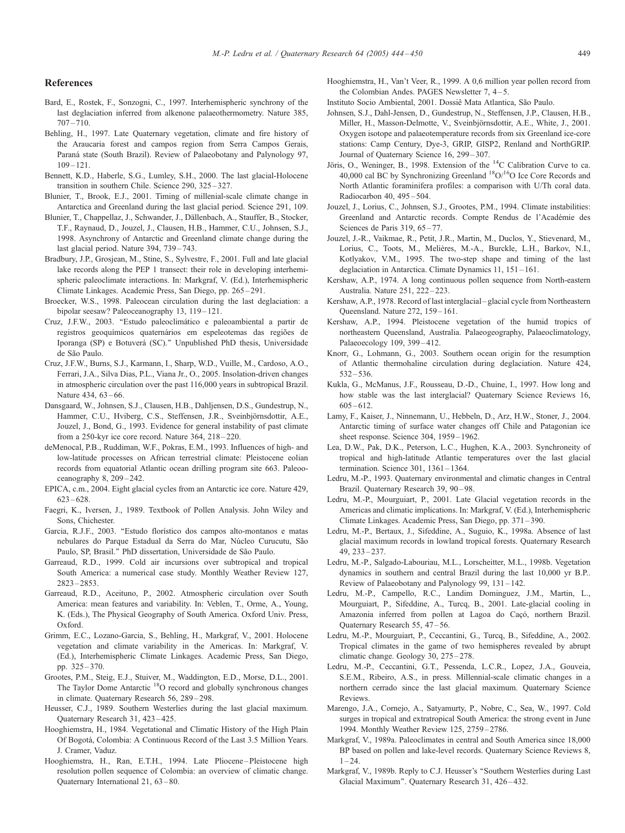## <span id="page-5-0"></span>References

- Bard, E., Rostek, F., Sonzogni, C., 1997. Interhemispheric synchrony of the last deglaciation inferred from alkenone palaeothermometry. Nature 385, 707–710.
- Behling, H., 1997. Late Quaternary vegetation, climate and fire history of the Araucaria forest and campos region from Serra Campos Gerais, Paraná state (South Brazil). Review of Palaeobotany and Palynology 97,  $109 - 121$
- Bennett, K.D., Haberle, S.G., Lumley, S.H., 2000. The last glacial-Holocene transition in southern Chile. Science 290, 325– 327.
- Blunier, T., Brook, E.J., 2001. Timing of millenial-scale climate change in Antarctica and Greenland during the last glacial period. Science 291, 109.
- Blunier, T., Chappellaz, J., Schwander, J., Dällenbach, A., Stauffer, B., Stocker, T.F., Raynaud, D., Jouzel, J., Clausen, H.B., Hammer, C.U., Johnsen, S.J., 1998. Asynchrony of Antarctic and Greenland climate change during the last glacial period. Nature 394, 739–743.
- Bradbury, J.P., Grosjean, M., Stine, S., Sylvestre, F., 2001. Full and late glacial lake records along the PEP 1 transect: their role in developing interhemispheric paleoclimate interactions. In: Markgraf, V. (Ed.), Interhemispheric Climate Linkages. Academic Press, San Diego, pp. 265– 291.
- Broecker, W.S., 1998. Paleocean circulation during the last deglaciation: a bipolar seesaw? Paleoceanography 13, 119– 121.
- Cruz, J.F.W., 2003. ''Estudo paleoclima´tico e paleoambiental a partir de registros geoquímicos quaternários em espeleotemas das regiões de Iporanga (SP) e Botuverá (SC)." Unpublished PhD thesis, Universidade de São Paulo.
- Cruz, J.F.W., Burns, S.J., Karmann, I., Sharp, W.D., Vuille, M., Cardoso, A.O., Ferrari, J.A., Silva Dias, P.L., Viana Jr., O., 2005. Insolation-driven changes in atmospheric circulation over the past 116,000 years in subtropical Brazil. Nature 434, 63-66.
- Dansgaard, W., Johnsen, S.J., Clausen, H.B., Dahljensen, D.S., Gundestrup, N., Hammer, C.U., Hviberg, C.S., Steffensen, J.R., Sveinbjörnsdottir, A.E., Jouzel, J., Bond, G., 1993. Evidence for general instability of past climate from a 250-kyr ice core record. Nature 364, 218-220.
- deMenocal, P.B., Ruddiman, W.F., Pokras, E.M., 1993. Influences of high- and low-latitude processes on African terrestrial climate: Pleistocene eolian records from equatorial Atlantic ocean drilling program site 663. Paleooceanography 8, 209-242.
- EPICA, c.m., 2004. Eight glacial cycles from an Antarctic ice core. Nature 429, 623–628.
- Faegri, K., Iversen, J., 1989. Textbook of Pollen Analysis. John Wiley and Sons, Chichester.
- Garcia, R.J.F., 2003. "Estudo florístico dos campos alto-montanos e matas nebulares do Parque Estadual da Serra do Mar, Núcleo Curucutu, São Paulo, SP, Brasil." PhD dissertation, Universidade de São Paulo.
- Garreaud, R.D., 1999. Cold air incursions over subtropical and tropical South America: a numerical case study. Monthly Weather Review 127, 2823–2853.
- Garreaud, R.D., Aceituno, P., 2002. Atmospheric circulation over South America: mean features and variability. In: Veblen, T., Orme, A., Young, K. (Eds.), The Physical Geography of South America. Oxford Univ. Press, Oxford.
- Grimm, E.C., Lozano-Garcia, S., Behling, H., Markgraf, V., 2001. Holocene vegetation and climate variability in the Americas. In: Markgraf, V. (Ed.), Interhemispheric Climate Linkages. Academic Press, San Diego, pp. 325–370.
- Grootes, P.M., Steig, E.J., Stuiver, M., Waddington, E.D., Morse, D.L., 2001. The Taylor Dome Antarctic <sup>18</sup>O record and globally synchronous changes in climate. Quaternary Research 56, 289–298.
- Heusser, C.J., 1989. Southern Westerlies during the last glacial maximum. Quaternary Research 31, 423– 425.
- Hooghiemstra, H., 1984. Vegetational and Climatic History of the High Plain Of Bogota´, Colombia: A Continuous Record of the Last 3.5 Million Years. J. Cramer, Vaduz.
- Hooghiemstra, H., Ran, E.T.H., 1994. Late Pliocene–Pleistocene high resolution pollen sequence of Colombia: an overview of climatic change. Quaternary International 21, 63– 80.
- Hooghiemstra, H., Van't Veer, R., 1999. A 0,6 million year pollen record from the Colombian Andes. PAGES Newsletter 7, 4 –5.
- Instituto Socio Ambiental, 2001. Dossiê Mata Atlantica, São Paulo.
- Johnsen, S.J., Dahl-Jensen, D., Gundestrup, N., Steffensen, J.P., Clausen, H.B., Miller, H., Masson-Delmotte, V., Sveinbjörnsdottir, A.E., White, J., 2001. Oxygen isotope and palaeotemperature records from six Greenland ice-core stations: Camp Century, Dye-3, GRIP, GISP2, Renland and NorthGRIP. Journal of Quaternary Science 16, 299-307.
- Jöris, O., Weninger, B., 1998. Extension of the <sup>14</sup>C Calibration Curve to ca. 40,000 cal BC by Synchronizing Greenland 18O/16O Ice Core Records and North Atlantic foraminifera profiles: a comparison with U/Th coral data. Radiocarbon 40, 495– 504.
- Jouzel, J., Lorius, C., Johnsen, S.J., Grootes, P.M., 1994. Climate instabilities: Greenland and Antarctic records. Compte Rendus de l'Académie des Sciences de Paris 319, 65-77.
- Jouzel, J.-R., Vaikmae, R., Petit, J.R., Martin, M., Duclos, Y., Stievenard, M., Lorius, C., Toots, M., Melières, M.-A., Burckle, L.H., Barkov, N.I., Kotlyakov, V.M., 1995. The two-step shape and timing of the last deglaciation in Antarctica. Climate Dynamics 11, 151–161.
- Kershaw, A.P., 1974. A long continuous pollen sequence from North-eastern Australia. Nature 251, 222– 223.
- Kershaw, A.P., 1978. Record of last interglacial–glacial cycle from Northeastern Queensland. Nature 272, 159– 161.
- Kershaw, A.P., 1994. Pleistocene vegetation of the humid tropics of northeastern Queensland, Australia. Palaeogeography, Palaeoclimatology, Palaeoecology 109, 399-412.
- Knorr, G., Lohmann, G., 2003. Southern ocean origin for the resumption of Atlantic thermohaline circulation during deglaciation. Nature 424, 532– 536.
- Kukla, G., McManus, J.F., Rousseau, D.-D., Chuine, I., 1997. How long and how stable was the last interglacial? Quaternary Science Reviews 16,  $605 - 612$
- Lamy, F., Kaiser, J., Ninnemann, U., Hebbeln, D., Arz, H.W., Stoner, J., 2004. Antarctic timing of surface water changes off Chile and Patagonian ice sheet response. Science 304, 1959– 1962.
- Lea, D.W., Pak, D.K., Peterson, L.C., Hughen, K.A., 2003. Synchroneity of tropical and high-latitude Atlantic temperatures over the last glacial termination. Science 301, 1361– 1364.
- Ledru, M.-P., 1993. Quaternary environmental and climatic changes in Central Brazil. Quaternary Research 39, 90-98.
- Ledru, M.-P., Mourguiart, P., 2001. Late Glacial vegetation records in the Americas and climatic implications. In: Markgraf, V. (Ed.), Interhemispheric Climate Linkages. Academic Press, San Diego, pp. 371– 390.
- Ledru, M.-P., Bertaux, J., Sifeddine, A., Suguio, K., 1998a. Absence of last glacial maximum records in lowland tropical forests. Quaternary Research 49, 233– 237.
- Ledru, M.-P., Salgado-Labouriau, M.L., Lorscheitter, M.L., 1998b. Vegetation dynamics in southern and central Brazil during the last 10,000 yr B.P.. Review of Palaeobotany and Palynology 99, 131– 142.
- Ledru, M.-P., Campello, R.C., Landim Dominguez, J.M., Martin, L., Mourguiart, P., Sifeddine, A., Turcq, B., 2001. Late-glacial cooling in Amazonia inferred from pollen at Lagoa do Caçó, northern Brazil. Quaternary Research 55, 47– 56.
- Ledru, M.-P., Mourguiart, P., Ceccantini, G., Turcq, B., Sifeddine, A., 2002. Tropical climates in the game of two hemispheres revealed by abrupt climatic change. Geology 30, 275–278.
- Ledru, M.-P., Ceccantini, G.T., Pessenda, L.C.R., Lopez, J.A., Gouveia, S.E.M., Ribeiro, A.S., in press. Millennial-scale climatic changes in a northern cerrado since the last glacial maximum. Quaternary Science Reviews.
- Marengo, J.A., Cornejo, A., Satyamurty, P., Nobre, C., Sea, W., 1997. Cold surges in tropical and extratropical South America: the strong event in June 1994. Monthly Weather Review 125, 2759– 2786.
- Markgraf, V., 1989a. Paleoclimates in central and South America since 18,000 BP based on pollen and lake-level records. Quaternary Science Reviews 8,  $1 - 24$
- Markgraf, V., 1989b. Reply to C.J. Heusser's ''Southern Westerlies during Last Glacial Maximum". Quaternary Research 31, 426-432.